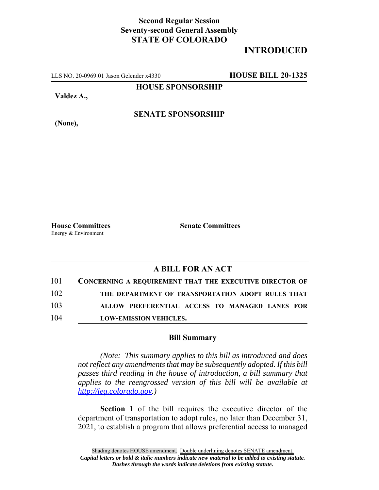## **Second Regular Session Seventy-second General Assembly STATE OF COLORADO**

## **INTRODUCED**

LLS NO. 20-0969.01 Jason Gelender x4330 **HOUSE BILL 20-1325**

**HOUSE SPONSORSHIP**

**Valdez A.,**

**SENATE SPONSORSHIP**

**(None),**

Energy & Environment

**House Committees Senate Committees**

## **A BILL FOR AN ACT**

| 101 | <b>CONCERNING A REQUIREMENT THAT THE EXECUTIVE DIRECTOR OF</b> |
|-----|----------------------------------------------------------------|
| 102 | THE DEPARTMENT OF TRANSPORTATION ADOPT RULES THAT              |
| 103 | ALLOW PREFERENTIAL ACCESS TO MANAGED LANES FOR                 |
| 104 | <b>LOW-EMISSION VEHICLES.</b>                                  |

## **Bill Summary**

*(Note: This summary applies to this bill as introduced and does not reflect any amendments that may be subsequently adopted. If this bill passes third reading in the house of introduction, a bill summary that applies to the reengrossed version of this bill will be available at http://leg.colorado.gov.)*

**Section 1** of the bill requires the executive director of the department of transportation to adopt rules, no later than December 31, 2021, to establish a program that allows preferential access to managed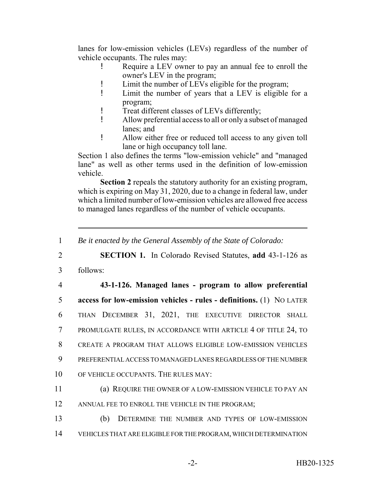lanes for low-emission vehicles (LEVs) regardless of the number of vehicle occupants. The rules may:

- ! Require a LEV owner to pay an annual fee to enroll the owner's LEV in the program;
- ! Limit the number of LEVs eligible for the program;
- ! Limit the number of years that a LEV is eligible for a program;
- ! Treat different classes of LEVs differently;
- ! Allow preferential access to all or only a subset of managed lanes; and
- ! Allow either free or reduced toll access to any given toll lane or high occupancy toll lane.

Section 1 also defines the terms "low-emission vehicle" and "managed lane" as well as other terms used in the definition of low-emission vehicle.

**Section 2** repeals the statutory authority for an existing program, which is expiring on May 31, 2020, due to a change in federal law, under which a limited number of low-emission vehicles are allowed free access to managed lanes regardless of the number of vehicle occupants.

1 *Be it enacted by the General Assembly of the State of Colorado:*

2 **SECTION 1.** In Colorado Revised Statutes, **add** 43-1-126 as

3 follows:

 **43-1-126. Managed lanes - program to allow preferential access for low-emission vehicles - rules - definitions.** (1) NO LATER THAN DECEMBER 31, 2021, THE EXECUTIVE DIRECTOR SHALL PROMULGATE RULES, IN ACCORDANCE WITH ARTICLE 4 OF TITLE 24, TO CREATE A PROGRAM THAT ALLOWS ELIGIBLE LOW-EMISSION VEHICLES PREFERENTIAL ACCESS TO MANAGED LANES REGARDLESS OF THE NUMBER OF VEHICLE OCCUPANTS. THE RULES MAY:

11 (a) REQUIRE THE OWNER OF A LOW-EMISSION VEHICLE TO PAY AN 12 ANNUAL FEE TO ENROLL THE VEHICLE IN THE PROGRAM;

13 (b) DETERMINE THE NUMBER AND TYPES OF LOW-EMISSION 14 VEHICLES THAT ARE ELIGIBLE FOR THE PROGRAM, WHICH DETERMINATION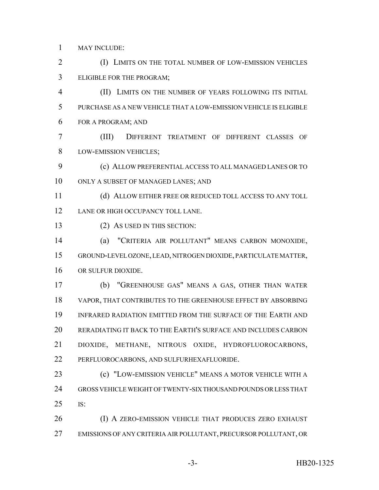MAY INCLUDE:

2 (I) LIMITS ON THE TOTAL NUMBER OF LOW-EMISSION VEHICLES ELIGIBLE FOR THE PROGRAM;

 (II) LIMITS ON THE NUMBER OF YEARS FOLLOWING ITS INITIAL PURCHASE AS A NEW VEHICLE THAT A LOW-EMISSION VEHICLE IS ELIGIBLE FOR A PROGRAM; AND

 (III) DIFFERENT TREATMENT OF DIFFERENT CLASSES OF LOW-EMISSION VEHICLES;

 (c) ALLOW PREFERENTIAL ACCESS TO ALL MANAGED LANES OR TO ONLY A SUBSET OF MANAGED LANES; AND

11 (d) ALLOW EITHER FREE OR REDUCED TOLL ACCESS TO ANY TOLL 12 LANE OR HIGH OCCUPANCY TOLL LANE.

(2) AS USED IN THIS SECTION:

 (a) "CRITERIA AIR POLLUTANT" MEANS CARBON MONOXIDE, GROUND-LEVEL OZONE, LEAD, NITROGEN DIOXIDE, PARTICULATE MATTER, OR SULFUR DIOXIDE.

 (b) "GREENHOUSE GAS" MEANS A GAS, OTHER THAN WATER VAPOR, THAT CONTRIBUTES TO THE GREENHOUSE EFFECT BY ABSORBING INFRARED RADIATION EMITTED FROM THE SURFACE OF THE EARTH AND RERADIATING IT BACK TO THE EARTH'S SURFACE AND INCLUDES CARBON DIOXIDE, METHANE, NITROUS OXIDE, HYDROFLUOROCARBONS, PERFLUOROCARBONS, AND SULFURHEXAFLUORIDE.

 (c) "LOW-EMISSION VEHICLE" MEANS A MOTOR VEHICLE WITH A GROSS VEHICLE WEIGHT OF TWENTY-SIX THOUSAND POUNDS OR LESS THAT IS:

26 (I) A ZERO-EMISSION VEHICLE THAT PRODUCES ZERO EXHAUST EMISSIONS OF ANY CRITERIA AIR POLLUTANT, PRECURSOR POLLUTANT, OR